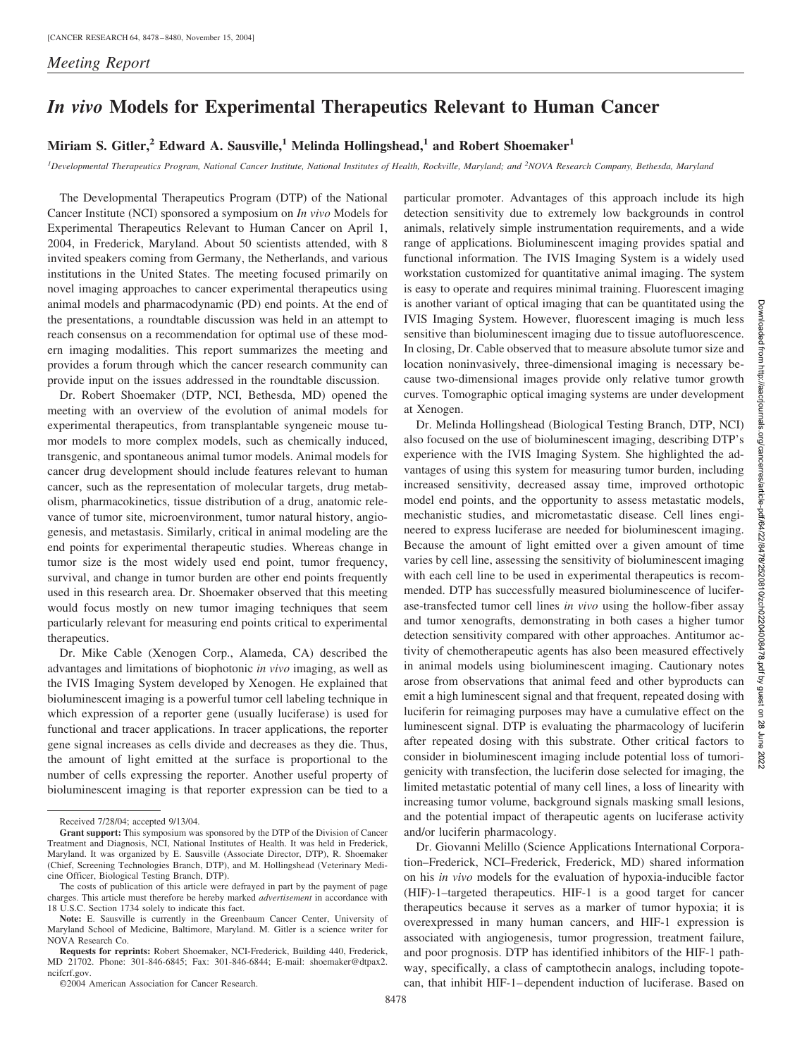## *In vivo* **Models for Experimental Therapeutics Relevant to Human Cancer**

## **Miriam S. Gitler,<sup>2</sup> Edward A. Sausville,<sup>1</sup> Melinda Hollingshead,<sup>1</sup> and Robert Shoemaker<sup>1</sup>**

<sup>*1*</sup> Developmental Therapeutics Program, National Cancer Institute, National Institutes of Health, Rockville, Maryland; and <sup>2</sup>NOVA Research Company, Bethesda, Maryland

The Developmental Therapeutics Program (DTP) of the National Cancer Institute (NCI) sponsored a symposium on *In vivo* Models for Experimental Therapeutics Relevant to Human Cancer on April 1, 2004, in Frederick, Maryland. About 50 scientists attended, with 8 invited speakers coming from Germany, the Netherlands, and various institutions in the United States. The meeting focused primarily on novel imaging approaches to cancer experimental therapeutics using animal models and pharmacodynamic (PD) end points. At the end of the presentations, a roundtable discussion was held in an attempt to reach consensus on a recommendation for optimal use of these modern imaging modalities. This report summarizes the meeting and provides a forum through which the cancer research community can provide input on the issues addressed in the roundtable discussion.

Dr. Robert Shoemaker (DTP, NCI, Bethesda, MD) opened the meeting with an overview of the evolution of animal models for experimental therapeutics, from transplantable syngeneic mouse tumor models to more complex models, such as chemically induced, transgenic, and spontaneous animal tumor models. Animal models for cancer drug development should include features relevant to human cancer, such as the representation of molecular targets, drug metabolism, pharmacokinetics, tissue distribution of a drug, anatomic relevance of tumor site, microenvironment, tumor natural history, angiogenesis, and metastasis. Similarly, critical in animal modeling are the end points for experimental therapeutic studies. Whereas change in tumor size is the most widely used end point, tumor frequency, survival, and change in tumor burden are other end points frequently used in this research area. Dr. Shoemaker observed that this meeting would focus mostly on new tumor imaging techniques that seem particularly relevant for measuring end points critical to experimental therapeutics.

Dr. Mike Cable (Xenogen Corp., Alameda, CA) described the advantages and limitations of biophotonic *in vivo* imaging, as well as the IVIS Imaging System developed by Xenogen. He explained that bioluminescent imaging is a powerful tumor cell labeling technique in which expression of a reporter gene (usually luciferase) is used for functional and tracer applications. In tracer applications, the reporter gene signal increases as cells divide and decreases as they die. Thus, the amount of light emitted at the surface is proportional to the number of cells expressing the reporter. Another useful property of bioluminescent imaging is that reporter expression can be tied to a particular promoter. Advantages of this approach include its high detection sensitivity due to extremely low backgrounds in control animals, relatively simple instrumentation requirements, and a wide range of applications. Bioluminescent imaging provides spatial and functional information. The IVIS Imaging System is a widely used workstation customized for quantitative animal imaging. The system is easy to operate and requires minimal training. Fluorescent imaging is another variant of optical imaging that can be quantitated using the IVIS Imaging System. However, fluorescent imaging is much less sensitive than bioluminescent imaging due to tissue autofluorescence. In closing, Dr. Cable observed that to measure absolute tumor size and location noninvasively, three-dimensional imaging is necessary because two-dimensional images provide only relative tumor growth curves. Tomographic optical imaging systems are under development at Xenogen.

Dr. Melinda Hollingshead (Biological Testing Branch, DTP, NCI) also focused on the use of bioluminescent imaging, describing DTP's experience with the IVIS Imaging System. She highlighted the advantages of using this system for measuring tumor burden, including increased sensitivity, decreased assay time, improved orthotopic model end points, and the opportunity to assess metastatic models, mechanistic studies, and micrometastatic disease. Cell lines engineered to express luciferase are needed for bioluminescent imaging. Because the amount of light emitted over a given amount of time varies by cell line, assessing the sensitivity of bioluminescent imaging with each cell line to be used in experimental therapeutics is recommended. DTP has successfully measured bioluminescence of luciferase-transfected tumor cell lines *in vivo* using the hollow-fiber assay and tumor xenografts, demonstrating in both cases a higher tumor detection sensitivity compared with other approaches. Antitumor activity of chemotherapeutic agents has also been measured effectively in animal models using bioluminescent imaging. Cautionary notes arose from observations that animal feed and other byproducts can emit a high luminescent signal and that frequent, repeated dosing with luciferin for reimaging purposes may have a cumulative effect on the luminescent signal. DTP is evaluating the pharmacology of luciferin after repeated dosing with this substrate. Other critical factors to consider in bioluminescent imaging include potential loss of tumorigenicity with transfection, the luciferin dose selected for imaging, the limited metastatic potential of many cell lines, a loss of linearity with increasing tumor volume, background signals masking small lesions, and the potential impact of therapeutic agents on luciferase activity and/or luciferin pharmacology.

Dr. Giovanni Melillo (Science Applications International Corporation–Frederick, NCI–Frederick, Frederick, MD) shared information on his *in vivo* models for the evaluation of hypoxia-inducible factor (HIF)-1–targeted therapeutics. HIF-1 is a good target for cancer therapeutics because it serves as a marker of tumor hypoxia; it is overexpressed in many human cancers, and HIF-1 expression is associated with angiogenesis, tumor progression, treatment failure, and poor prognosis. DTP has identified inhibitors of the HIF-1 pathway, specifically, a class of camptothecin analogs, including topotecan, that inhibit HIF-1– dependent induction of luciferase. Based on

Received 7/28/04; accepted 9/13/04.

**Grant support:** This symposium was sponsored by the DTP of the Division of Cancer Treatment and Diagnosis, NCI, National Institutes of Health. It was held in Frederick, Maryland. It was organized by E. Sausville (Associate Director, DTP), R. Shoemaker (Chief, Screening Technologies Branch, DTP), and M. Hollingshead (Veterinary Medicine Officer, Biological Testing Branch, DTP).

The costs of publication of this article were defrayed in part by the payment of page charges. This article must therefore be hereby marked *advertisement* in accordance with 18 U.S.C. Section 1734 solely to indicate this fact.

**Note:** E. Sausville is currently in the Greenbaum Cancer Center, University of Maryland School of Medicine, Baltimore, Maryland. M. Gitler is a science writer for NOVA Research Co.

**Requests for reprints:** Robert Shoemaker, NCI-Frederick, Building 440, Frederick, MD 21702. Phone: 301-846-6845; Fax: 301-846-6844; E-mail: shoemaker@dtpax2. ncifcrf.gov.

<sup>©2004</sup> American Association for Cancer Research.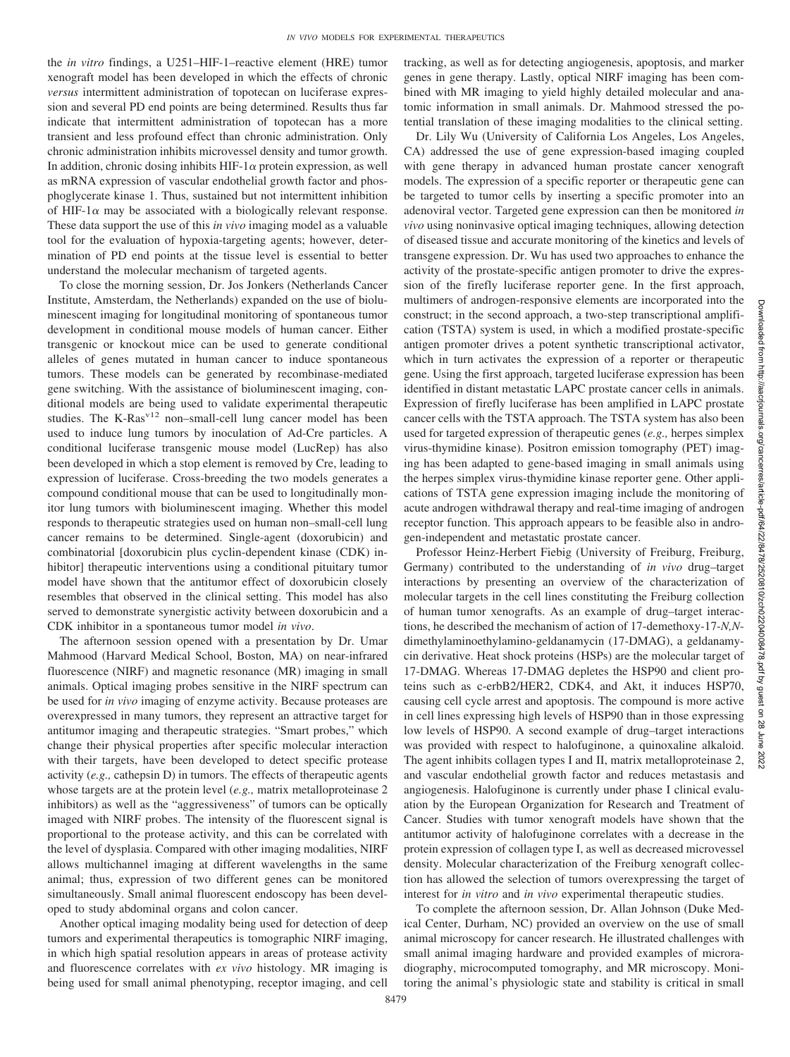the *in vitro* findings, a U251–HIF-1–reactive element (HRE) tumor xenograft model has been developed in which the effects of chronic *versus* intermittent administration of topotecan on luciferase expression and several PD end points are being determined. Results thus far indicate that intermittent administration of topotecan has a more transient and less profound effect than chronic administration. Only chronic administration inhibits microvessel density and tumor growth. In addition, chronic dosing inhibits HIF-1 $\alpha$  protein expression, as well as mRNA expression of vascular endothelial growth factor and phosphoglycerate kinase 1. Thus, sustained but not intermittent inhibition of HIF-1 $\alpha$  may be associated with a biologically relevant response. These data support the use of this *in vivo* imaging model as a valuable tool for the evaluation of hypoxia-targeting agents; however, determination of PD end points at the tissue level is essential to better understand the molecular mechanism of targeted agents.

To close the morning session, Dr. Jos Jonkers (Netherlands Cancer Institute, Amsterdam, the Netherlands) expanded on the use of bioluminescent imaging for longitudinal monitoring of spontaneous tumor development in conditional mouse models of human cancer. Either transgenic or knockout mice can be used to generate conditional alleles of genes mutated in human cancer to induce spontaneous tumors. These models can be generated by recombinase-mediated gene switching. With the assistance of bioluminescent imaging, conditional models are being used to validate experimental therapeutic studies. The K-Ras<sup>v12</sup> non-small-cell lung cancer model has been used to induce lung tumors by inoculation of Ad-Cre particles. A conditional luciferase transgenic mouse model (LucRep) has also been developed in which a stop element is removed by Cre, leading to expression of luciferase. Cross-breeding the two models generates a compound conditional mouse that can be used to longitudinally monitor lung tumors with bioluminescent imaging. Whether this model responds to therapeutic strategies used on human non–small-cell lung cancer remains to be determined. Single-agent (doxorubicin) and combinatorial [doxorubicin plus cyclin-dependent kinase (CDK) inhibitor] therapeutic interventions using a conditional pituitary tumor model have shown that the antitumor effect of doxorubicin closely resembles that observed in the clinical setting. This model has also served to demonstrate synergistic activity between doxorubicin and a CDK inhibitor in a spontaneous tumor model *in vivo*.

The afternoon session opened with a presentation by Dr. Umar Mahmood (Harvard Medical School, Boston, MA) on near-infrared fluorescence (NIRF) and magnetic resonance (MR) imaging in small animals. Optical imaging probes sensitive in the NIRF spectrum can be used for *in vivo* imaging of enzyme activity. Because proteases are overexpressed in many tumors, they represent an attractive target for antitumor imaging and therapeutic strategies. "Smart probes," which change their physical properties after specific molecular interaction with their targets, have been developed to detect specific protease activity (*e.g.,* cathepsin D) in tumors. The effects of therapeutic agents whose targets are at the protein level (*e.g.,* matrix metalloproteinase 2 inhibitors) as well as the "aggressiveness" of tumors can be optically imaged with NIRF probes. The intensity of the fluorescent signal is proportional to the protease activity, and this can be correlated with the level of dysplasia. Compared with other imaging modalities, NIRF allows multichannel imaging at different wavelengths in the same animal; thus, expression of two different genes can be monitored simultaneously. Small animal fluorescent endoscopy has been developed to study abdominal organs and colon cancer.

Another optical imaging modality being used for detection of deep tumors and experimental therapeutics is tomographic NIRF imaging, in which high spatial resolution appears in areas of protease activity and fluorescence correlates with *ex vivo* histology. MR imaging is being used for small animal phenotyping, receptor imaging, and cell tracking, as well as for detecting angiogenesis, apoptosis, and marker genes in gene therapy. Lastly, optical NIRF imaging has been combined with MR imaging to yield highly detailed molecular and anatomic information in small animals. Dr. Mahmood stressed the potential translation of these imaging modalities to the clinical setting.

Dr. Lily Wu (University of California Los Angeles, Los An*g*eles, CA) addressed the use of gene expression-based imaging coupled with gene therapy in advanced human prostate cancer xenograft models. The expression of a specific reporter or therapeutic gene can be targeted to tumor cells by inserting a specific promoter into an adenoviral vector. Targeted gene expression can then be monitored *in vivo* using noninvasive optical imaging techniques, allowing detection of diseased tissue and accurate monitoring of the kinetics and levels of transgene expression. Dr. Wu has used two approaches to enhance the activity of the prostate-specific antigen promoter to drive the expression of the firefly luciferase reporter gene. In the first approach, multimers of androgen-responsive elements are incorporated into the construct; in the second approach, a two-step transcriptional amplification (TSTA) system is used, in which a modified prostate-specific antigen promoter drives a potent synthetic transcriptional activator, which in turn activates the expression of a reporter or therapeutic gene. Using the first approach, targeted luciferase expression has been identified in distant metastatic LAPC prostate cancer cells in animals. Expression of firefly luciferase has been amplified in LAPC prostate cancer cells with the TSTA approach. The TSTA system has also been used for targeted expression of therapeutic genes (*e.g.,* herpes simplex virus-thymidine kinase). Positron emission tomography (PET) imaging has been adapted to gene-based imaging in small animals using the herpes simplex virus-thymidine kinase reporter gene. Other applications of TSTA gene expression imaging include the monitoring of acute androgen withdrawal therapy and real-time imaging of androgen receptor function. This approach appears to be feasible also in androgen-independent and metastatic prostate cancer.

Professor Heinz-Herbert Fiebig (University of Freiburg, Freiburg, Germany) contributed to the understanding of *in vivo* drug–target interactions by presenting an overview of the characterization of molecular targets in the cell lines constituting the Freiburg collection of human tumor xenografts. As an example of drug–target interactions, he described the mechanism of action of 17-demethoxy-17-*N,N*dimethylaminoethylamino-geldanamycin (17-DMAG), a geldanamycin derivative. Heat shock proteins (HSPs) are the molecular target of 17-DMAG. Whereas 17-DMAG depletes the HSP90 and client proteins such as c-erbB2/HER2, CDK4, and Akt, it induces HSP70, causing cell cycle arrest and apoptosis. The compound is more active in cell lines expressing high levels of HSP90 than in those expressing low levels of HSP90. A second example of drug–target interactions was provided with respect to halofuginone, a quinoxaline alkaloid. The agent inhibits collagen types I and II, matrix metalloproteinase 2, and vascular endothelial growth factor and reduces metastasis and angiogenesis. Halofuginone is currently under phase I clinical evaluation by the European Organization for Research and Treatment of Cancer. Studies with tumor xenograft models have shown that the antitumor activity of halofuginone correlates with a decrease in the protein expression of collagen type I, as well as decreased microvessel density. Molecular characterization of the Freiburg xenograft collection has allowed the selection of tumors overexpressing the target of interest for *in vitro* and *in vivo* experimental therapeutic studies.

To complete the afternoon session, Dr. Allan Johnson (Duke Medical Center, Durham, NC) provided an overview on the use of small animal microscopy for cancer research. He illustrated challenges with small animal imaging hardware and provided examples of microradiography, microcomputed tomography, and MR microscopy. Monitoring the animal's physiologic state and stability is critical in small